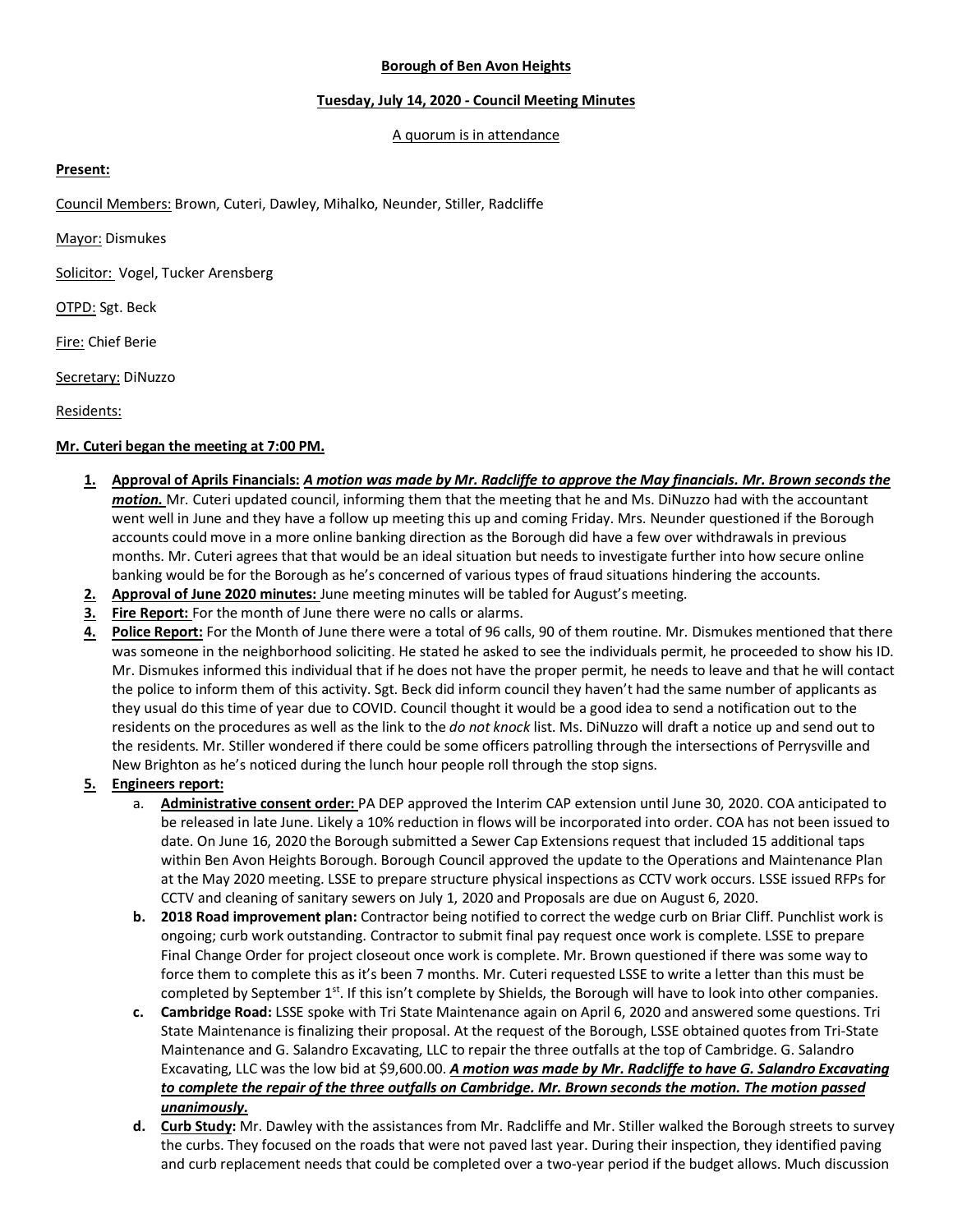#### **Borough of Ben Avon Heights**

# **Tuesday, July 14, 2020 - Council Meeting Minutes**

#### A quorum is in attendance

### **Present:**

Council Members: Brown, Cuteri, Dawley, Mihalko, Neunder, Stiller, Radcliffe

Mayor: Dismukes

Solicitor: Vogel, Tucker Arensberg

OTPD: Sgt. Beck

Fire: Chief Berie

Secretary: DiNuzzo

Residents:

# **Mr. Cuteri began the meeting at 7:00 PM.**

- **1. Approval of Aprils Financials:** *A motion was made by Mr. Radcliffe to approve the May financials. Mr. Brown seconds the motion.* Mr. Cuteri updated council, informing them that the meeting that he and Ms. DiNuzzo had with the accountant went well in June and they have a follow up meeting this up and coming Friday. Mrs. Neunder questioned if the Borough accounts could move in a more online banking direction as the Borough did have a few over withdrawals in previous months. Mr. Cuteri agrees that that would be an ideal situation but needs to investigate further into how secure online banking would be for the Borough as he's concerned of various types of fraud situations hindering the accounts.
- **2. Approval of June 2020 minutes:** June meeting minutes will be tabled for August's meeting.
- **3. Fire Report:** For the month of June there were no calls or alarms.
- **4. Police Report:** For the Month of June there were a total of 96 calls, 90 of them routine. Mr. Dismukes mentioned that there was someone in the neighborhood soliciting. He stated he asked to see the individuals permit, he proceeded to show his ID. Mr. Dismukes informed this individual that if he does not have the proper permit, he needs to leave and that he will contact the police to inform them of this activity. Sgt. Beck did inform council they haven't had the same number of applicants as they usual do this time of year due to COVID. Council thought it would be a good idea to send a notification out to the residents on the procedures as well as the link to the *do not knock* list. Ms. DiNuzzo will draft a notice up and send out to the residents. Mr. Stiller wondered if there could be some officers patrolling through the intersections of Perrysville and New Brighton as he's noticed during the lunch hour people roll through the stop signs.

# **5. Engineers report:**

- a. **Administrative consent order:** PA DEP approved the Interim CAP extension until June 30, 2020. COA anticipated to be released in late June. Likely a 10% reduction in flows will be incorporated into order. COA has not been issued to date. On June 16, 2020 the Borough submitted a Sewer Cap Extensions request that included 15 additional taps within Ben Avon Heights Borough. Borough Council approved the update to the Operations and Maintenance Plan at the May 2020 meeting. LSSE to prepare structure physical inspections as CCTV work occurs. LSSE issued RFPs for CCTV and cleaning of sanitary sewers on July 1, 2020 and Proposals are due on August 6, 2020.
- **b. 2018 Road improvement plan:** Contractor being notified to correct the wedge curb on Briar Cliff. Punchlist work is ongoing; curb work outstanding. Contractor to submit final pay request once work is complete. LSSE to prepare Final Change Order for project closeout once work is complete. Mr. Brown questioned if there was some way to force them to complete this as it's been 7 months. Mr. Cuteri requested LSSE to write a letter than this must be completed by September 1<sup>st</sup>. If this isn't complete by Shields, the Borough will have to look into other companies.
- **c. Cambridge Road:** LSSE spoke with Tri State Maintenance again on April 6, 2020 and answered some questions. Tri State Maintenance is finalizing their proposal. At the request of the Borough, LSSE obtained quotes from Tri-State Maintenance and G. Salandro Excavating, LLC to repair the three outfalls at the top of Cambridge. G. Salandro Excavating, LLC was the low bid at \$9,600.00. *A motion was made by Mr. Radcliffe to have G. Salandro Excavating to complete the repair of the three outfalls on Cambridge. Mr. Brown seconds the motion. The motion passed unanimously.*
- **d. Curb Study:** Mr. Dawley with the assistances from Mr. Radcliffe and Mr. Stiller walked the Borough streets to survey the curbs. They focused on the roads that were not paved last year. During their inspection, they identified paving and curb replacement needs that could be completed over a two-year period if the budget allows. Much discussion